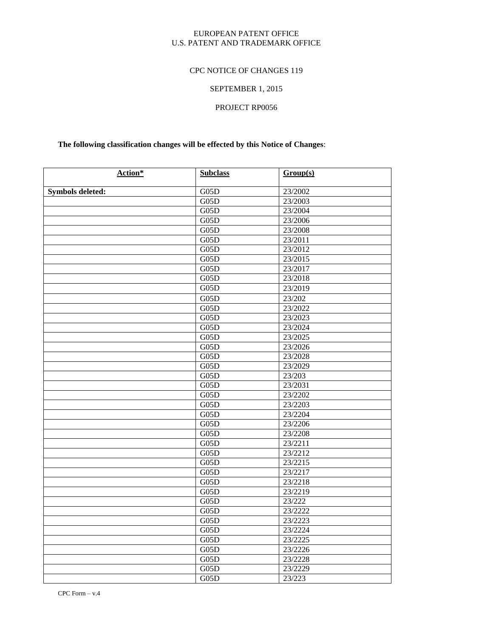## EUROPEAN PATENT OFFICE U.S. PATENT AND TRADEMARK OFFICE

# CPC NOTICE OF CHANGES 119

# SEPTEMBER 1, 2015

# PROJECT RP0056

# **The following classification changes will be effected by this Notice of Changes**:

| Action*                 | <b>Subclass</b>    | Group(s) |
|-------------------------|--------------------|----------|
| <b>Symbols deleted:</b> | G05D               | 23/2002  |
|                         | G05D               | 23/2003  |
|                         | G05D               | 23/2004  |
|                         | G05D               | 23/2006  |
|                         | $\overline{G0}$ 5D | 23/2008  |
|                         | G05D               | 23/2011  |
|                         | G05D               | 23/2012  |
|                         | G05D               | 23/2015  |
|                         | G05D               | 23/2017  |
|                         | G05D               | 23/2018  |
|                         | G05D               | 23/2019  |
|                         | G05D               | 23/202   |
|                         | G05D               | 23/2022  |
|                         | G05D               | 23/2023  |
|                         | G05D               | 23/2024  |
|                         | G05D               | 23/2025  |
|                         | G05D               | 23/2026  |
|                         | G05D               | 23/2028  |
|                         | G05D               | 23/2029  |
|                         | G05D               | 23/203   |
|                         | G05D               | 23/2031  |
|                         | G05D               | 23/2202  |
|                         | G05D               | 23/2203  |
|                         | G05D               | 23/2204  |
|                         | G05D               | 23/2206  |
|                         | G05D               | 23/2208  |
|                         | G05D               | 23/2211  |
|                         | G05D               | 23/2212  |
|                         | G05D               | 23/2215  |
|                         | G05D               | 23/2217  |
|                         | G05D               | 23/2218  |
|                         | G05D               | 23/2219  |
|                         | G05D               | 23/222   |
|                         | G05D               | 23/2222  |
|                         | G05D               | 23/2223  |
|                         | G05D               | 23/2224  |
|                         | G05D               | 23/2225  |
|                         | G05D               | 23/2226  |
|                         | G05D               | 23/2228  |
|                         | G05D               | 23/2229  |
|                         | G05D               | 23/223   |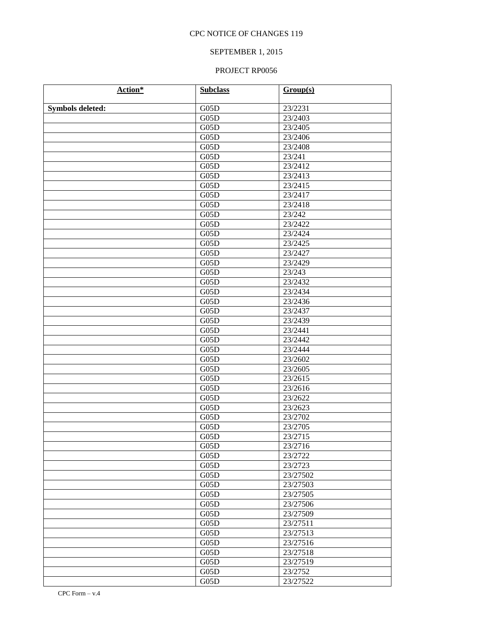# SEPTEMBER 1, 2015

| Action*                 | <b>Subclass</b> | Group(s) |
|-------------------------|-----------------|----------|
|                         |                 |          |
| <b>Symbols deleted:</b> | G05D            | 23/2231  |
|                         | G05D            | 23/2403  |
|                         | G05D            | 23/2405  |
|                         | G05D            | 23/2406  |
|                         | G05D            | 23/2408  |
|                         | G05D            | 23/241   |
|                         | G05D            | 23/2412  |
|                         | G05D            | 23/2413  |
|                         | G05D            | 23/2415  |
|                         | G05D            | 23/2417  |
|                         | G05D            | 23/2418  |
|                         | G05D            | 23/242   |
|                         | G05D            | 23/2422  |
|                         | G05D            | 23/2424  |
|                         | G05D            | 23/2425  |
|                         | G05D            | 23/2427  |
|                         | G05D            | 23/2429  |
|                         | G05D            | 23/243   |
|                         | G05D            | 23/2432  |
|                         | G05D            | 23/2434  |
|                         | G05D            | 23/2436  |
|                         | G05D            | 23/2437  |
|                         | G05D            | 23/2439  |
|                         | G05D            | 23/2441  |
|                         | G05D            | 23/2442  |
|                         | G05D            | 23/2444  |
|                         | G05D            | 23/2602  |
|                         | G05D            | 23/2605  |
|                         | G05D            | 23/2615  |
|                         | G05D            | 23/2616  |
|                         | G05D            | 23/2622  |
|                         | G05D            | 23/2623  |
|                         | G05D            | 23/2702  |
|                         | G05D            | 23/2705  |
|                         | G05D            | 23/2715  |
|                         | G05D            | 23/2716  |
|                         | G05D            | 23/2722  |
|                         | G05D            | 23/2723  |
|                         | G05D            | 23/27502 |
|                         | G05D            | 23/27503 |
|                         | G05D            | 23/27505 |
|                         | G05D            | 23/27506 |
|                         | G05D            | 23/27509 |
|                         | G05D            | 23/27511 |
|                         | G05D            | 23/27513 |
|                         | G05D            | 23/27516 |
|                         | G05D            | 23/27518 |
|                         | G05D            | 23/27519 |
|                         | G05D            | 23/2752  |
|                         | G05D            | 23/27522 |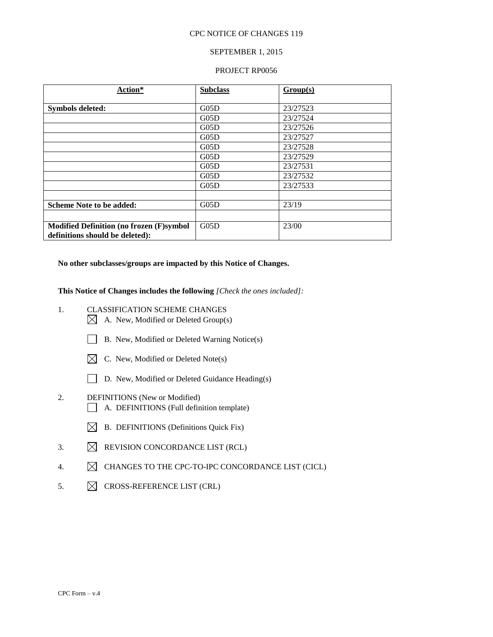### SEPTEMBER 1, 2015

#### PROJECT RP0056

| Action*                                         | <b>Subclass</b> | Group(s) |
|-------------------------------------------------|-----------------|----------|
| <b>Symbols deleted:</b>                         | G05D            | 23/27523 |
|                                                 | G05D            | 23/27524 |
|                                                 | G05D            | 23/27526 |
|                                                 | G05D            | 23/27527 |
|                                                 | G05D            | 23/27528 |
|                                                 | G05D            | 23/27529 |
|                                                 | G05D            | 23/27531 |
|                                                 | G05D            | 23/27532 |
|                                                 | G05D            | 23/27533 |
|                                                 |                 |          |
| <b>Scheme Note to be added:</b>                 | G05D            | 23/19    |
|                                                 |                 |          |
| <b>Modified Definition (no frozen (F)symbol</b> | G05D            | 23/00    |
| definitions should be deleted):                 |                 |          |

**No other subclasses/groups are impacted by this Notice of Changes.**

**This Notice of Changes includes the following** *[Check the ones included]:*

- 1. CLASSIFICATION SCHEME CHANGES
	- $\boxtimes$  A. New, Modified or Deleted Group(s)
	- B. New, Modified or Deleted Warning Notice(s)
	- $\boxtimes$  C. New, Modified or Deleted Note(s)
	- D. New, Modified or Deleted Guidance Heading(s)
- 2. DEFINITIONS (New or Modified) A. DEFINITIONS (Full definition template)
	- $\boxtimes$  B. DEFINITIONS (Definitions Quick Fix)
- 3.  $\boxtimes$  REVISION CONCORDANCE LIST (RCL)
- 4.  $\boxtimes$  CHANGES TO THE CPC-TO-IPC CONCORDANCE LIST (CICL)
- 5.  $\boxtimes$  CROSS-REFERENCE LIST (CRL)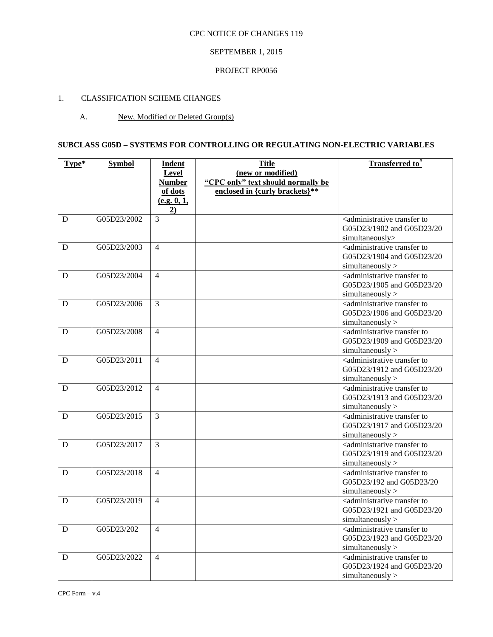# SEPTEMBER 1, 2015

## PROJECT RP0056

# 1. CLASSIFICATION SCHEME CHANGES

# A. New, Modified or Deleted Group(s)

# **SUBCLASS G05D – SYSTEMS FOR CONTROLLING OR REGULATING NON-ELECTRIC VARIABLES**

| Type* | <b>Symbol</b> | <b>Indent</b><br>Level   | <b>Title</b><br>(new or modified)                                    | Transferred to <sup>#</sup>                                                                            |
|-------|---------------|--------------------------|----------------------------------------------------------------------|--------------------------------------------------------------------------------------------------------|
|       |               | <b>Number</b><br>of dots | "CPC only" text should normally be<br>enclosed in {curly brackets}** |                                                                                                        |
|       |               | (e.g. 0, 1,<br>2)        |                                                                      |                                                                                                        |
| D     | G05D23/2002   | 3                        |                                                                      | <administrative to<br="" transfer="">G05D23/1902 and G05D23/20<br/>simultaneously&gt;</administrative> |
| D     | G05D23/2003   | $\overline{4}$           |                                                                      | <administrative to<br="" transfer="">G05D23/1904 and G05D23/20<br/>simultaneously</administrative>     |
| D     | G05D23/2004   | $\overline{4}$           |                                                                      | <administrative to<br="" transfer="">G05D23/1905 and G05D23/20<br/>simultaneously</administrative>     |
| D     | G05D23/2006   | 3                        |                                                                      | <administrative to<br="" transfer="">G05D23/1906 and G05D23/20<br/>simultaneously</administrative>     |
| D     | G05D23/2008   | $\overline{4}$           |                                                                      | <administrative to<br="" transfer="">G05D23/1909 and G05D23/20<br/>simultaneously</administrative>     |
| D     | G05D23/2011   | $\overline{4}$           |                                                                      | <administrative to<br="" transfer="">G05D23/1912 and G05D23/20<br/>simultaneously</administrative>     |
| D     | G05D23/2012   | $\overline{4}$           |                                                                      | <administrative to<br="" transfer="">G05D23/1913 and G05D23/20<br/>simultaneously</administrative>     |
| D     | G05D23/2015   | $\overline{3}$           |                                                                      | <administrative to<br="" transfer="">G05D23/1917 and G05D23/20<br/>simultaneously</administrative>     |
| D     | G05D23/2017   | $\overline{3}$           |                                                                      | <administrative to<br="" transfer="">G05D23/1919 and G05D23/20<br/>simultaneously</administrative>     |
| D     | G05D23/2018   | $\overline{4}$           |                                                                      | <administrative to<br="" transfer="">G05D23/192 and G05D23/20<br/>simultaneously</administrative>      |
| D     | G05D23/2019   | $\overline{4}$           |                                                                      | <administrative to<br="" transfer="">G05D23/1921 and G05D23/20<br/>simultaneously</administrative>     |
| D     | G05D23/202    | $\overline{4}$           |                                                                      | <administrative to<br="" transfer="">G05D23/1923 and G05D23/20<br/>simultaneously</administrative>     |
| D     | G05D23/2022   | $\overline{4}$           |                                                                      | <administrative to<br="" transfer="">G05D23/1924 and G05D23/20<br/>simultaneously</administrative>     |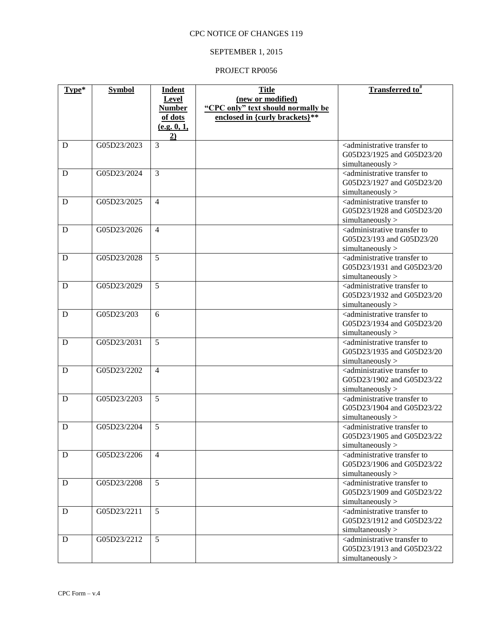# SEPTEMBER 1, 2015

| Type* | <b>Symbol</b> | <b>Indent</b>     | <b>Title</b>                       | Transferred to <sup>#</sup>                                                     |
|-------|---------------|-------------------|------------------------------------|---------------------------------------------------------------------------------|
|       |               | Level             | (new or modified)                  |                                                                                 |
|       |               | <b>Number</b>     | "CPC only" text should normally be |                                                                                 |
|       |               | of dots           | enclosed in {curly brackets}**     |                                                                                 |
|       |               | (e.g. 0, 1,<br>2) |                                    |                                                                                 |
| D     | G05D23/2023   | $\overline{3}$    |                                    | <administrative td="" to<="" transfer=""></administrative>                      |
|       |               |                   |                                    | G05D23/1925 and G05D23/20                                                       |
|       |               |                   |                                    | simultaneously                                                                  |
| D     | G05D23/2024   | $\overline{3}$    |                                    | <administrative td="" to<="" transfer=""></administrative>                      |
|       |               |                   |                                    | G05D23/1927 and G05D23/20                                                       |
|       |               |                   |                                    | simultaneously                                                                  |
| D     | G05D23/2025   | $\overline{4}$    |                                    | <administrative td="" to<="" transfer=""></administrative>                      |
|       |               |                   |                                    | G05D23/1928 and G05D23/20                                                       |
|       |               |                   |                                    | simultaneously                                                                  |
| D     | G05D23/2026   | $\overline{4}$    |                                    | <administrative td="" to<="" transfer=""></administrative>                      |
|       |               |                   |                                    | G05D23/193 and G05D23/20                                                        |
| D     | G05D23/2028   | 5                 |                                    | simultaneously<br><administrative td="" to<="" transfer=""></administrative>    |
|       |               |                   |                                    | G05D23/1931 and G05D23/20                                                       |
|       |               |                   |                                    | simultaneously                                                                  |
| D     | G05D23/2029   | $\overline{5}$    |                                    | <administrative td="" to<="" transfer=""></administrative>                      |
|       |               |                   |                                    | G05D23/1932 and G05D23/20                                                       |
|       |               |                   |                                    | simultaneously                                                                  |
| D     | G05D23/203    | 6                 |                                    | <administrative td="" to<="" transfer=""></administrative>                      |
|       |               |                   |                                    | G05D23/1934 and G05D23/20                                                       |
|       |               |                   |                                    | simultaneously                                                                  |
| D     | G05D23/2031   | 5                 |                                    | <administrative td="" to<="" transfer=""></administrative>                      |
|       |               |                   |                                    | G05D23/1935 and G05D23/20                                                       |
|       |               |                   |                                    | simultaneously                                                                  |
| D     | G05D23/2202   | $\overline{4}$    |                                    | <administrative td="" to<="" transfer=""></administrative>                      |
|       |               |                   |                                    | G05D23/1902 and G05D23/22                                                       |
|       |               |                   |                                    | simultaneously                                                                  |
| D     | G05D23/2203   | 5                 |                                    | <administrative td="" to<="" transfer=""></administrative>                      |
|       |               |                   |                                    | G05D23/1904 and G05D23/22                                                       |
|       |               |                   |                                    | simultaneously                                                                  |
| D     | G05D23/2204   | 5                 |                                    | <administrative td="" to<="" transfer=""></administrative>                      |
|       |               |                   |                                    | G05D23/1905 and G05D23/22                                                       |
|       |               |                   |                                    | sumultaneously                                                                  |
| D     | G05D23/2206   | $\overline{4}$    |                                    | <administrative to<br="" transfer="">G05D23/1906 and G05D23/22</administrative> |
|       |               |                   |                                    | simultaneously                                                                  |
| D     | G05D23/2208   | 5                 |                                    | <administrative td="" to<="" transfer=""></administrative>                      |
|       |               |                   |                                    | G05D23/1909 and G05D23/22                                                       |
|       |               |                   |                                    | simultaneously                                                                  |
| D     | G05D23/2211   | 5 <sup>5</sup>    |                                    | <administrative td="" to<="" transfer=""></administrative>                      |
|       |               |                   |                                    | G05D23/1912 and G05D23/22                                                       |
|       |               |                   |                                    | simultaneously                                                                  |
| D     | G05D23/2212   | $\overline{5}$    |                                    | <administrative td="" to<="" transfer=""></administrative>                      |
|       |               |                   |                                    | G05D23/1913 and G05D23/22                                                       |
|       |               |                   |                                    | simultaneously                                                                  |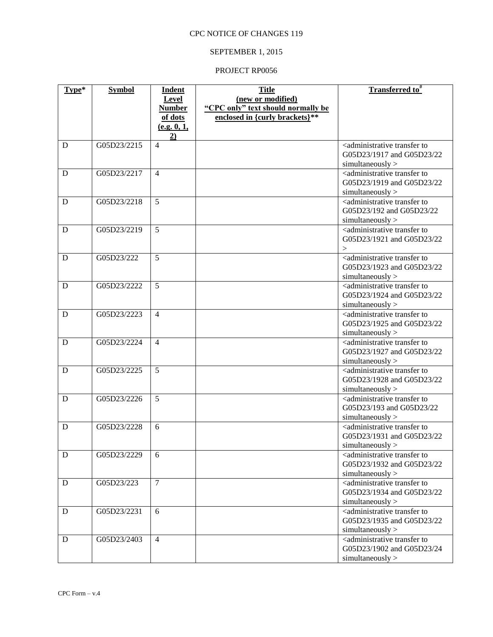# SEPTEMBER 1, 2015

| Type* | <b>Symbol</b> | <b>Indent</b>     | <b>Title</b>                       | Transferred to <sup>#</sup>                                                     |
|-------|---------------|-------------------|------------------------------------|---------------------------------------------------------------------------------|
|       |               | Level             | (new or modified)                  |                                                                                 |
|       |               | <b>Number</b>     | "CPC only" text should normally be |                                                                                 |
|       |               | of dots           | enclosed in {curly brackets}**     |                                                                                 |
|       |               | (e.g. 0, 1,<br>2) |                                    |                                                                                 |
| D     | G05D23/2215   | $\overline{4}$    |                                    | <administrative td="" to<="" transfer=""></administrative>                      |
|       |               |                   |                                    | G05D23/1917 and G05D23/22                                                       |
|       |               |                   |                                    | simultaneously                                                                  |
| D     | G05D23/2217   | $\overline{4}$    |                                    | <administrative td="" to<="" transfer=""></administrative>                      |
|       |               |                   |                                    | G05D23/1919 and G05D23/22                                                       |
|       |               |                   |                                    | simultaneously                                                                  |
| D     | G05D23/2218   | $\overline{5}$    |                                    | <administrative td="" to<="" transfer=""></administrative>                      |
|       |               |                   |                                    | G05D23/192 and G05D23/22                                                        |
|       |               |                   |                                    | simultaneously                                                                  |
| D     | G05D23/2219   | 5                 |                                    | <administrative td="" to<="" transfer=""></administrative>                      |
|       |               |                   |                                    | G05D23/1921 and G05D23/22                                                       |
| D     | G05D23/222    | 5                 |                                    | ><br><administrative td="" to<="" transfer=""></administrative>                 |
|       |               |                   |                                    | G05D23/1923 and G05D23/22                                                       |
|       |               |                   |                                    | simultaneously                                                                  |
| D     | G05D23/2222   | $\overline{5}$    |                                    | <administrative td="" to<="" transfer=""></administrative>                      |
|       |               |                   |                                    | G05D23/1924 and G05D23/22                                                       |
|       |               |                   |                                    | simultaneously                                                                  |
| D     | G05D23/2223   | $\overline{4}$    |                                    | <administrative td="" to<="" transfer=""></administrative>                      |
|       |               |                   |                                    | G05D23/1925 and G05D23/22                                                       |
|       |               |                   |                                    | simultaneously                                                                  |
| D     | G05D23/2224   | $\overline{4}$    |                                    | <administrative td="" to<="" transfer=""></administrative>                      |
|       |               |                   |                                    | G05D23/1927 and G05D23/22                                                       |
|       |               |                   |                                    | simultaneously                                                                  |
| D     | G05D23/2225   | $\overline{5}$    |                                    | <administrative td="" to<="" transfer=""></administrative>                      |
|       |               |                   |                                    | G05D23/1928 and G05D23/22                                                       |
|       |               |                   |                                    | simultaneously                                                                  |
| D     | G05D23/2226   | 5                 |                                    | <administrative td="" to<="" transfer=""></administrative>                      |
|       |               |                   |                                    | G05D23/193 and G05D23/22                                                        |
|       |               |                   |                                    | simultaneously                                                                  |
| D     | G05D23/2228   | 6                 |                                    | <administrative td="" to<="" transfer=""></administrative>                      |
|       |               |                   |                                    | G05D23/1931 and G05D23/22                                                       |
|       |               |                   |                                    | sumultaneously                                                                  |
| D     | G05D23/2229   | 6                 |                                    | <administrative to<br="" transfer="">G05D23/1932 and G05D23/22</administrative> |
|       |               |                   |                                    | simultaneously                                                                  |
| D     | G05D23/223    | $\overline{7}$    |                                    | <administrative td="" to<="" transfer=""></administrative>                      |
|       |               |                   |                                    | G05D23/1934 and G05D23/22                                                       |
|       |               |                   |                                    | simultaneously                                                                  |
| D     | G05D23/2231   | 6                 |                                    | <administrative td="" to<="" transfer=""></administrative>                      |
|       |               |                   |                                    | G05D23/1935 and G05D23/22                                                       |
|       |               |                   |                                    | simultaneously                                                                  |
| D     | G05D23/2403   | $\overline{4}$    |                                    | <administrative td="" to<="" transfer=""></administrative>                      |
|       |               |                   |                                    | G05D23/1902 and G05D23/24                                                       |
|       |               |                   |                                    | simultaneously                                                                  |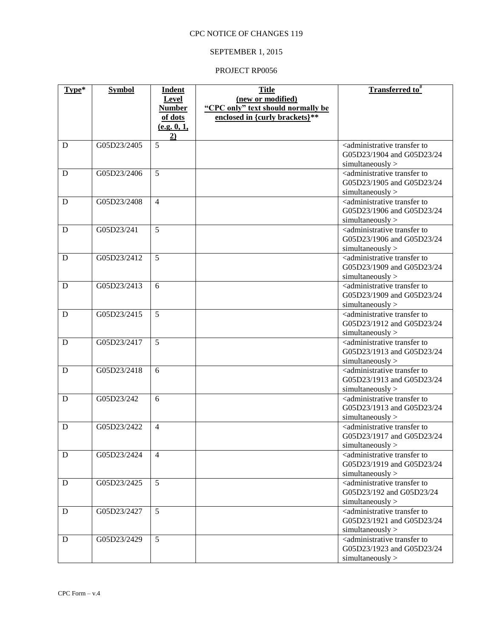# SEPTEMBER 1, 2015

| Type* | <b>Symbol</b> | <b>Indent</b><br>Level | <b>Title</b><br>(new or modified)  | Transferred to <sup>#</sup>                                                     |
|-------|---------------|------------------------|------------------------------------|---------------------------------------------------------------------------------|
|       |               | <b>Number</b>          | "CPC only" text should normally be |                                                                                 |
|       |               | of dots                | enclosed in {curly brackets}**     |                                                                                 |
|       |               | (e.g. 0, 1,<br>2)      |                                    |                                                                                 |
| D     | G05D23/2405   | 5                      |                                    | <administrative td="" to<="" transfer=""></administrative>                      |
|       |               |                        |                                    | G05D23/1904 and G05D23/24                                                       |
|       |               |                        |                                    | simultaneously                                                                  |
| D     | G05D23/2406   | 5                      |                                    | <administrative to<br="" transfer="">G05D23/1905 and G05D23/24</administrative> |
|       |               |                        |                                    | simultaneously                                                                  |
| D     | G05D23/2408   | $\overline{4}$         |                                    | <administrative td="" to<="" transfer=""></administrative>                      |
|       |               |                        |                                    | G05D23/1906 and G05D23/24                                                       |
|       |               |                        |                                    | simultaneously                                                                  |
| D     | G05D23/241    | 5                      |                                    | <administrative td="" to<="" transfer=""></administrative>                      |
|       |               |                        |                                    | G05D23/1906 and G05D23/24                                                       |
|       |               |                        |                                    | simultaneously                                                                  |
| D     | G05D23/2412   | 5                      |                                    | <administrative td="" to<="" transfer=""></administrative>                      |
|       |               |                        |                                    | G05D23/1909 and G05D23/24                                                       |
| D     | G05D23/2413   | 6                      |                                    | simultaneously<br><administrative td="" to<="" transfer=""></administrative>    |
|       |               |                        |                                    | G05D23/1909 and G05D23/24                                                       |
|       |               |                        |                                    | simultaneously                                                                  |
| D     | G05D23/2415   | $\overline{5}$         |                                    | <administrative td="" to<="" transfer=""></administrative>                      |
|       |               |                        |                                    | G05D23/1912 and G05D23/24                                                       |
|       |               |                        |                                    | simultaneously                                                                  |
| D     | G05D23/2417   | 5                      |                                    | <administrative td="" to<="" transfer=""></administrative>                      |
|       |               |                        |                                    | G05D23/1913 and G05D23/24                                                       |
|       |               |                        |                                    | simultaneously                                                                  |
| D     | G05D23/2418   | 6                      |                                    | <administrative to<br="" transfer="">G05D23/1913 and G05D23/24</administrative> |
|       |               |                        |                                    | simultaneously                                                                  |
| D     | G05D23/242    | 6                      |                                    | <administrative td="" to<="" transfer=""></administrative>                      |
|       |               |                        |                                    | G05D23/1913 and G05D23/24                                                       |
|       |               |                        |                                    | simultaneously                                                                  |
| D     | G05D23/2422   | $\overline{4}$         |                                    | <administrative td="" to<="" transfer=""></administrative>                      |
|       |               |                        |                                    | G05D23/1917 and G05D23/24                                                       |
|       |               |                        |                                    | simultaneously >                                                                |
| D     | G05D23/2424   | $\overline{4}$         |                                    | <administrative to<br="" transfer="">G05D23/1919 and G05D23/24</administrative> |
|       |               |                        |                                    | simultaneously                                                                  |
| D     | G05D23/2425   | 5 <sup>5</sup>         |                                    | <administrative td="" to<="" transfer=""></administrative>                      |
|       |               |                        |                                    | G05D23/192 and G05D23/24                                                        |
|       |               |                        |                                    | simultaneously                                                                  |
| D     | G05D23/2427   | 5                      |                                    | <administrative td="" to<="" transfer=""></administrative>                      |
|       |               |                        |                                    | G05D23/1921 and G05D23/24                                                       |
|       |               |                        |                                    | simultaneously                                                                  |
| D     | G05D23/2429   | 5 <sup>5</sup>         |                                    | <administrative td="" to<="" transfer=""></administrative>                      |
|       |               |                        |                                    | G05D23/1923 and G05D23/24<br>simultaneously                                     |
|       |               |                        |                                    |                                                                                 |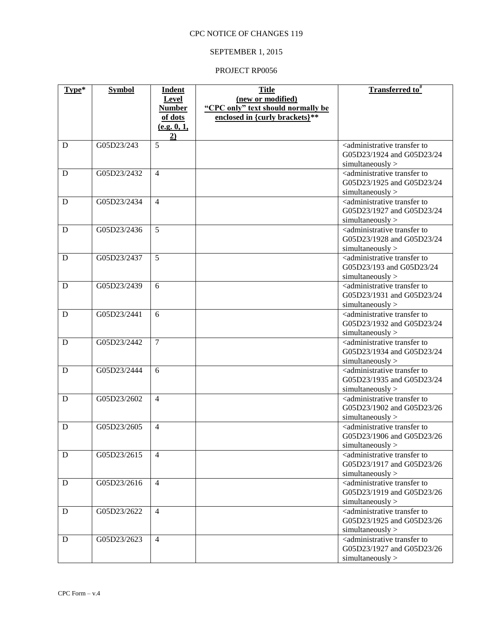# SEPTEMBER 1, 2015

| Type* | <b>Symbol</b> | <b>Indent</b>     | <b>Title</b>                       | Transferred to <sup>#</sup>                                                  |
|-------|---------------|-------------------|------------------------------------|------------------------------------------------------------------------------|
|       |               | Level             | (new or modified)                  |                                                                              |
|       |               | <b>Number</b>     | "CPC only" text should normally be |                                                                              |
|       |               | of dots           | enclosed in {curly brackets}**     |                                                                              |
|       |               | (e.g. 0, 1,<br>2) |                                    |                                                                              |
| D     | G05D23/243    | 5                 |                                    | <administrative td="" to<="" transfer=""></administrative>                   |
|       |               |                   |                                    | G05D23/1924 and G05D23/24                                                    |
|       |               |                   |                                    | simultaneously                                                               |
| D     | G05D23/2432   | $\overline{4}$    |                                    | <administrative td="" to<="" transfer=""></administrative>                   |
|       |               |                   |                                    | G05D23/1925 and G05D23/24                                                    |
|       |               |                   |                                    | simultaneously                                                               |
| D     | G05D23/2434   | $\overline{4}$    |                                    | <administrative td="" to<="" transfer=""></administrative>                   |
|       |               |                   |                                    | G05D23/1927 and G05D23/24                                                    |
|       | G05D23/2436   | 5                 |                                    | simultaneously<br><administrative td="" to<="" transfer=""></administrative> |
| D     |               |                   |                                    | G05D23/1928 and G05D23/24                                                    |
|       |               |                   |                                    | simultaneously                                                               |
| D     | G05D23/2437   | 5                 |                                    | <administrative td="" to<="" transfer=""></administrative>                   |
|       |               |                   |                                    | G05D23/193 and G05D23/24                                                     |
|       |               |                   |                                    | simultaneously                                                               |
| D     | G05D23/2439   | 6                 |                                    | <administrative td="" to<="" transfer=""></administrative>                   |
|       |               |                   |                                    | G05D23/1931 and G05D23/24                                                    |
|       |               |                   |                                    | simultaneously                                                               |
| D     | G05D23/2441   | 6                 |                                    | <administrative td="" to<="" transfer=""></administrative>                   |
|       |               |                   |                                    | G05D23/1932 and G05D23/24                                                    |
|       |               |                   |                                    | simultaneously                                                               |
| D     | G05D23/2442   | $\tau$            |                                    | <administrative td="" to<="" transfer=""></administrative>                   |
|       |               |                   |                                    | G05D23/1934 and G05D23/24                                                    |
|       |               |                   |                                    | simultaneously                                                               |
| D     | G05D23/2444   | 6                 |                                    | <administrative td="" to<="" transfer=""></administrative>                   |
|       |               |                   |                                    | G05D23/1935 and G05D23/24                                                    |
|       |               |                   |                                    | simultaneously                                                               |
| D     | G05D23/2602   | $\overline{4}$    |                                    | <administrative td="" to<="" transfer=""></administrative>                   |
|       |               |                   |                                    | G05D23/1902 and G05D23/26                                                    |
| D     | G05D23/2605   | $\overline{4}$    |                                    | simultaneously<br><administrative td="" to<="" transfer=""></administrative> |
|       |               |                   |                                    | G05D23/1906 and G05D23/26                                                    |
|       |               |                   |                                    | sumultaneously                                                               |
| D     | G05D23/2615   | $\overline{4}$    |                                    | <administrative td="" to<="" transfer=""></administrative>                   |
|       |               |                   |                                    | G05D23/1917 and G05D23/26                                                    |
|       |               |                   |                                    | simultaneously                                                               |
| D     | G05D23/2616   | $\overline{4}$    |                                    | <administrative td="" to<="" transfer=""></administrative>                   |
|       |               |                   |                                    | G05D23/1919 and G05D23/26                                                    |
|       |               |                   |                                    | simultaneously                                                               |
| D     | G05D23/2622   | $\overline{4}$    |                                    | <administrative td="" to<="" transfer=""></administrative>                   |
|       |               |                   |                                    | G05D23/1925 and G05D23/26                                                    |
|       |               |                   |                                    | simultaneously                                                               |
| D     | G05D23/2623   | $\overline{4}$    |                                    | <administrative td="" to<="" transfer=""></administrative>                   |
|       |               |                   |                                    | G05D23/1927 and G05D23/26                                                    |
|       |               |                   |                                    | simultaneously                                                               |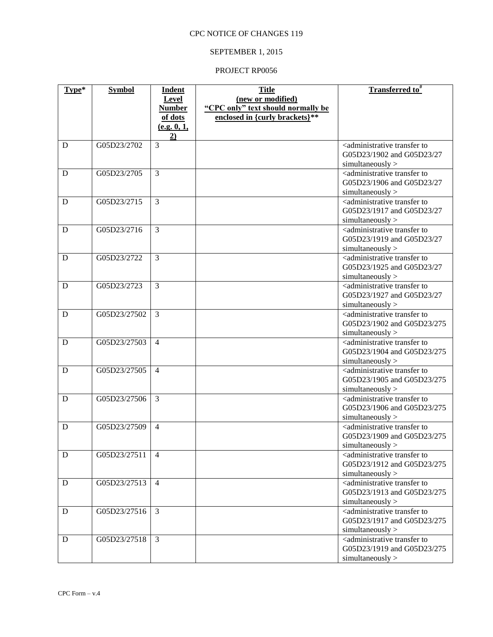# SEPTEMBER 1, 2015

| Type* | <b>Symbol</b> | <b>Indent</b>     | <b>Title</b>                       | Transferred to <sup>#</sup>                                                  |
|-------|---------------|-------------------|------------------------------------|------------------------------------------------------------------------------|
|       |               | Level             | (new or modified)                  |                                                                              |
|       |               | <b>Number</b>     | "CPC only" text should normally be |                                                                              |
|       |               | of dots           | enclosed in {curly brackets}**     |                                                                              |
|       |               | (e.g. 0, 1,<br>2) |                                    |                                                                              |
| D     | G05D23/2702   | $\overline{3}$    |                                    | <administrative td="" to<="" transfer=""></administrative>                   |
|       |               |                   |                                    | G05D23/1902 and G05D23/27                                                    |
|       |               |                   |                                    | simultaneously                                                               |
| D     | G05D23/2705   | $\overline{3}$    |                                    | <administrative td="" to<="" transfer=""></administrative>                   |
|       |               |                   |                                    | G05D23/1906 and G05D23/27                                                    |
|       |               |                   |                                    | simultaneously                                                               |
| D     | G05D23/2715   | $\overline{3}$    |                                    | <administrative td="" to<="" transfer=""></administrative>                   |
|       |               |                   |                                    | G05D23/1917 and G05D23/27                                                    |
|       | G05D23/2716   | 3                 |                                    | simultaneously<br><administrative td="" to<="" transfer=""></administrative> |
| D     |               |                   |                                    | G05D23/1919 and G05D23/27                                                    |
|       |               |                   |                                    | simultaneously                                                               |
| D     | G05D23/2722   | 3                 |                                    | <administrative td="" to<="" transfer=""></administrative>                   |
|       |               |                   |                                    | G05D23/1925 and G05D23/27                                                    |
|       |               |                   |                                    | simultaneously                                                               |
| D     | G05D23/2723   | $\overline{3}$    |                                    | <administrative td="" to<="" transfer=""></administrative>                   |
|       |               |                   |                                    | G05D23/1927 and G05D23/27                                                    |
|       |               |                   |                                    | simultaneously                                                               |
| D     | G05D23/27502  | 3                 |                                    | <administrative td="" to<="" transfer=""></administrative>                   |
|       |               |                   |                                    | G05D23/1902 and G05D23/275                                                   |
|       |               |                   |                                    | simultaneously                                                               |
| D     | G05D23/27503  | $\overline{4}$    |                                    | <administrative td="" to<="" transfer=""></administrative>                   |
|       |               |                   |                                    | G05D23/1904 and G05D23/275                                                   |
|       |               |                   |                                    | simultaneously                                                               |
| D     | G05D23/27505  | $\overline{4}$    |                                    | <administrative td="" to<="" transfer=""></administrative>                   |
|       |               |                   |                                    | G05D23/1905 and G05D23/275                                                   |
| D     | G05D23/27506  | 3                 |                                    | simultaneously<br><administrative td="" to<="" transfer=""></administrative> |
|       |               |                   |                                    | G05D23/1906 and G05D23/275                                                   |
|       |               |                   |                                    | simultaneously                                                               |
| D     | G05D23/27509  | $\overline{4}$    |                                    | <administrative td="" to<="" transfer=""></administrative>                   |
|       |               |                   |                                    | G05D23/1909 and G05D23/275                                                   |
|       |               |                   |                                    | simultaneously                                                               |
| D     | G05D23/27511  | $\overline{4}$    |                                    | <administrative td="" to<="" transfer=""></administrative>                   |
|       |               |                   |                                    | G05D23/1912 and G05D23/275                                                   |
|       |               |                   |                                    | simultaneously                                                               |
| D     | G05D23/27513  | $\overline{4}$    |                                    | <administrative td="" to<="" transfer=""></administrative>                   |
|       |               |                   |                                    | G05D23/1913 and G05D23/275                                                   |
|       |               |                   |                                    | simultaneously                                                               |
| D     | G05D23/27516  | $\overline{3}$    |                                    | <administrative td="" to<="" transfer=""></administrative>                   |
|       |               |                   |                                    | G05D23/1917 and G05D23/275                                                   |
| D     | G05D23/27518  | 3                 |                                    | simultaneously<br><administrative td="" to<="" transfer=""></administrative> |
|       |               |                   |                                    | G05D23/1919 and G05D23/275                                                   |
|       |               |                   |                                    | simultaneously                                                               |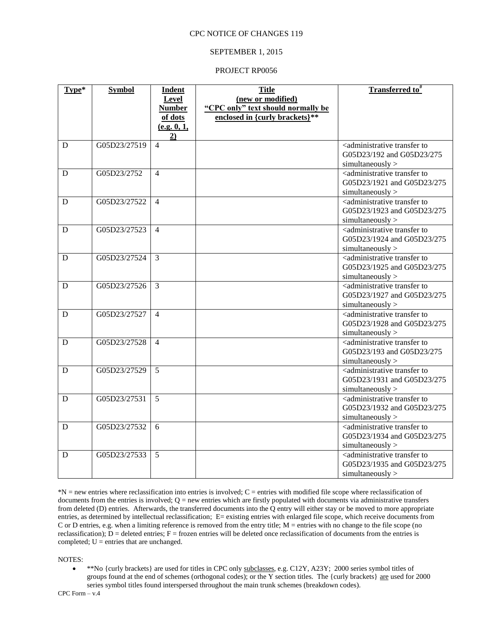#### SEPTEMBER 1, 2015

#### PROJECT RP0056

| Type* | <b>Symbol</b> | <b>Indent</b>                 | <b>Title</b>                                            | <b>Transferred to</b> #                                                          |
|-------|---------------|-------------------------------|---------------------------------------------------------|----------------------------------------------------------------------------------|
|       |               | <b>Level</b><br><b>Number</b> | (new or modified)<br>"CPC only" text should normally be |                                                                                  |
|       |               | of dots                       | enclosed in {curly brackets}**                          |                                                                                  |
|       |               | (e.g. 0, 1,                   |                                                         |                                                                                  |
|       |               | $\overline{2}$                |                                                         |                                                                                  |
| D     | G05D23/27519  | $\overline{4}$                |                                                         | <administrative td="" to<="" transfer=""></administrative>                       |
|       |               |                               |                                                         | G05D23/192 and G05D23/275                                                        |
| D     | G05D23/2752   | $\overline{4}$                |                                                         | simultaneously<br><administrative td="" to<="" transfer=""></administrative>     |
|       |               |                               |                                                         | G05D23/1921 and G05D23/275                                                       |
|       |               |                               |                                                         | simultaneously                                                                   |
| D     | G05D23/27522  | $\overline{4}$                |                                                         | <administrative td="" to<="" transfer=""></administrative>                       |
|       |               |                               |                                                         | G05D23/1923 and G05D23/275                                                       |
|       |               |                               |                                                         | simultaneously                                                                   |
| D     | G05D23/27523  | $\overline{4}$                |                                                         | <administrative to<br="" transfer="">G05D23/1924 and G05D23/275</administrative> |
|       |               |                               |                                                         | simultaneously                                                                   |
| D     | G05D23/27524  | 3                             |                                                         | <administrative td="" to<="" transfer=""></administrative>                       |
|       |               |                               |                                                         | G05D23/1925 and G05D23/275                                                       |
|       |               |                               |                                                         | simultaneously                                                                   |
| D     | G05D23/27526  | $\mathcal{F}$                 |                                                         | <administrative td="" to<="" transfer=""></administrative>                       |
|       |               |                               |                                                         | G05D23/1927 and G05D23/275                                                       |
| D     | G05D23/27527  | $\overline{4}$                |                                                         | simultaneously<br><administrative td="" to<="" transfer=""></administrative>     |
|       |               |                               |                                                         | G05D23/1928 and G05D23/275                                                       |
|       |               |                               |                                                         | simultaneously                                                                   |
| D     | G05D23/27528  | $\overline{4}$                |                                                         | <administrative td="" to<="" transfer=""></administrative>                       |
|       |               |                               |                                                         | G05D23/193 and G05D23/275                                                        |
|       |               |                               |                                                         | simultaneously                                                                   |
| D     | G05D23/27529  | 5                             |                                                         | <administrative td="" to<="" transfer=""></administrative>                       |
|       |               |                               |                                                         | G05D23/1931 and G05D23/275<br>simultaneously                                     |
| D     | G05D23/27531  | 5                             |                                                         | <administrative td="" to<="" transfer=""></administrative>                       |
|       |               |                               |                                                         | G05D23/1932 and G05D23/275                                                       |
|       |               |                               |                                                         | simultaneously                                                                   |
| D     | G05D23/27532  | 6                             |                                                         | <administrative td="" to<="" transfer=""></administrative>                       |
|       |               |                               |                                                         | G05D23/1934 and G05D23/275                                                       |
|       |               |                               |                                                         | simultaneously                                                                   |
| D     | G05D23/27533  | 5                             |                                                         | <administrative to<br="" transfer="">G05D23/1935 and G05D23/275</administrative> |
|       |               |                               |                                                         | simultaneously                                                                   |
|       |               |                               |                                                         |                                                                                  |

\*N = new entries where reclassification into entries is involved; C = entries with modified file scope where reclassification of documents from the entries is involved;  $Q =$  new entries which are firstly populated with documents via administrative transfers from deleted (D) entries. Afterwards, the transferred documents into the  $\hat{Q}$  entry will either stay or be moved to more appropriate entries, as determined by intellectual reclassification; E= existing entries with enlarged file scope, which receive documents from C or D entries, e.g. when a limiting reference is removed from the entry title; M = entries with no change to the file scope (no reclassification);  $\overline{D}$  = deleted entries; F = frozen entries will be deleted once reclassification of documents from the entries is completed;  $U =$  entries that are unchanged.

NOTES:

 \*\*No {curly brackets} are used for titles in CPC only subclasses, e.g. C12Y, A23Y; 2000 series symbol titles of groups found at the end of schemes (orthogonal codes); or the  $\overline{Y}$  section titles. The {curly brackets} are used for 2000 series symbol titles found interspersed throughout the main trunk schemes (breakdown codes).

CPC Form – v.4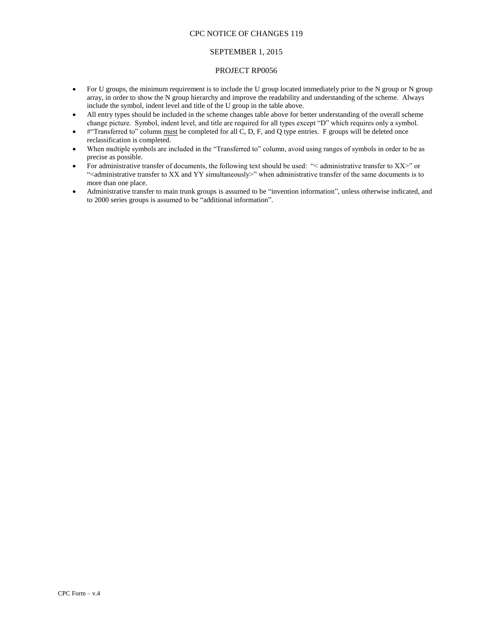### SEPTEMBER 1, 2015

- For U groups, the minimum requirement is to include the U group located immediately prior to the N group or N group array, in order to show the N group hierarchy and improve the readability and understanding of the scheme. Always include the symbol, indent level and title of the U group in the table above.
- All entry types should be included in the scheme changes table above for better understanding of the overall scheme change picture. Symbol, indent level, and title are required for all types except "D" which requires only a symbol.
- #"Transferred to" column must be completed for all C, D, F, and Q type entries. F groups will be deleted once reclassification is completed.
- When multiple symbols are included in the "Transferred to" column, avoid using ranges of symbols in order to be as precise as possible.
- For administrative transfer of documents, the following text should be used: "< administrative transfer to XX>" or "<administrative transfer to XX and YY simultaneously>" when administrative transfer of the same documents is to more than one place.
- Administrative transfer to main trunk groups is assumed to be "invention information", unless otherwise indicated, and to 2000 series groups is assumed to be "additional information".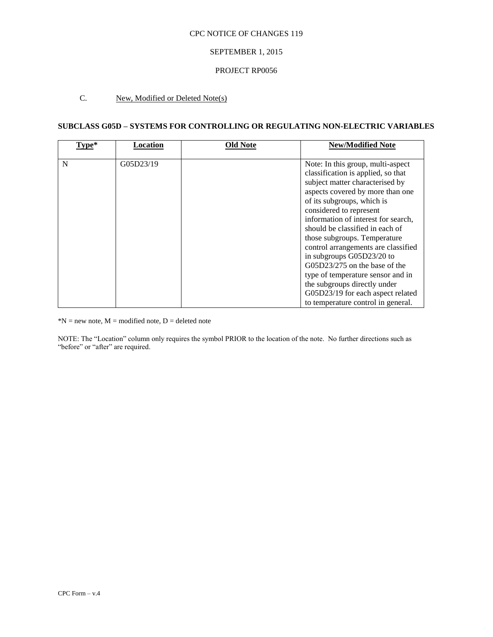## SEPTEMBER 1, 2015

### PROJECT RP0056

# C. New, Modified or Deleted Note(s)

## **SUBCLASS G05D – SYSTEMS FOR CONTROLLING OR REGULATING NON-ELECTRIC VARIABLES**

| Type* | Location  | <b>Old Note</b> | <b>New/Modified Note</b>                                                                                                                                                                                                                                                                                                                                                                                                                                                                                                                                                   |
|-------|-----------|-----------------|----------------------------------------------------------------------------------------------------------------------------------------------------------------------------------------------------------------------------------------------------------------------------------------------------------------------------------------------------------------------------------------------------------------------------------------------------------------------------------------------------------------------------------------------------------------------------|
| N     | G05D23/19 |                 | Note: In this group, multi-aspect<br>classification is applied, so that<br>subject matter characterised by<br>aspects covered by more than one<br>of its subgroups, which is<br>considered to represent<br>information of interest for search,<br>should be classified in each of<br>those subgroups. Temperature<br>control arrangements are classified<br>in subgroups G05D23/20 to<br>$G(05D23/275)$ on the base of the<br>type of temperature sensor and in<br>the subgroups directly under<br>G05D23/19 for each aspect related<br>to temperature control in general. |

 $*N$  = new note,  $M$  = modified note,  $D$  = deleted note

NOTE: The "Location" column only requires the symbol PRIOR to the location of the note. No further directions such as "before" or "after" are required.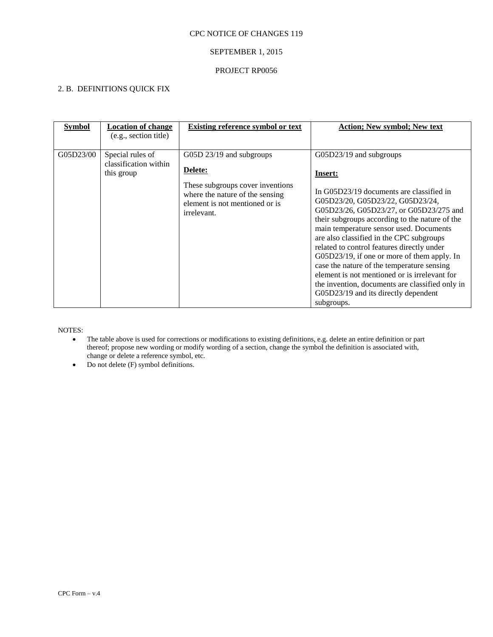# SEPTEMBER 1, 2015

## PROJECT RP0056

# 2. B. DEFINITIONS QUICK FIX

| <b>Symbol</b> | <b>Location of change</b><br>(e.g., section title)      | <b>Existing reference symbol or text</b>                                                                                                                    | <b>Action; New symbol; New text</b>                                                                                                                                                                                                                                                                                                                                                                                                                                                                                                                                                                         |
|---------------|---------------------------------------------------------|-------------------------------------------------------------------------------------------------------------------------------------------------------------|-------------------------------------------------------------------------------------------------------------------------------------------------------------------------------------------------------------------------------------------------------------------------------------------------------------------------------------------------------------------------------------------------------------------------------------------------------------------------------------------------------------------------------------------------------------------------------------------------------------|
| G05D23/00     | Special rules of<br>classification within<br>this group | G05D 23/19 and subgroups<br>Delete:<br>These subgroups cover inventions<br>where the nature of the sensing<br>element is not mentioned or is<br>irrelevant. | G05D23/19 and subgroups<br>Insert:<br>In G05D23/19 documents are classified in<br>G05D23/20, G05D23/22, G05D23/24,<br>G05D23/26, G05D23/27, or G05D23/275 and<br>their subgroups according to the nature of the<br>main temperature sensor used. Documents<br>are also classified in the CPC subgroups<br>related to control features directly under<br>G05D23/19, if one or more of them apply. In<br>case the nature of the temperature sensing<br>element is not mentioned or is irrelevant for<br>the invention, documents are classified only in<br>G05D23/19 and its directly dependent<br>subgroups. |

NOTES:

- The table above is used for corrections or modifications to existing definitions, e.g. delete an entire definition or part thereof; propose new wording or modify wording of a section, change the symbol the definition is associated with, change or delete a reference symbol, etc.
- $\bullet$  Do not delete (F) symbol definitions.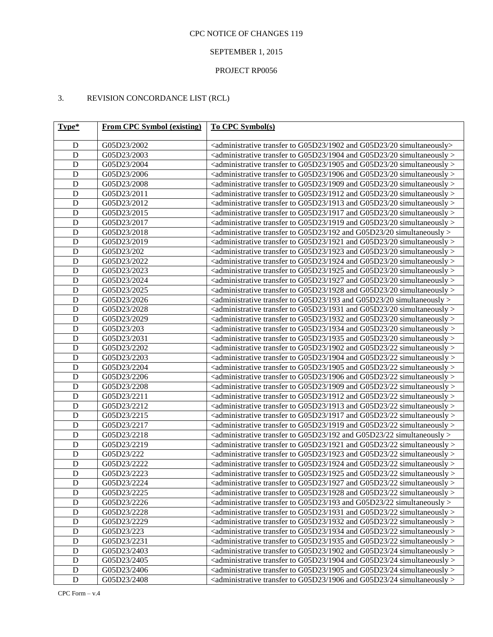# SEPTEMBER 1, 2015

# PROJECT RP0056

# 3. REVISION CONCORDANCE LIST (RCL)

| Type*          | <b>From CPC Symbol (existing)</b> | To CPC Symbol(s)                                                                                              |  |  |
|----------------|-----------------------------------|---------------------------------------------------------------------------------------------------------------|--|--|
| $\mathbf D$    | G05D23/2002                       | <administrative 1902="" 20="" and="" g05d23="" simultaneously="" to="" transfer=""></administrative>          |  |  |
| ${\bf D}$      | G05D23/2003                       | $\alpha$ administrative transfer to G05D23/1904 and G05D23/20 simultaneously $>$                              |  |  |
| ${\bf D}$      | G05D23/2004                       | $\alpha$ <administrative 1905="" 20="" and="" g05d23="" simultaneously="" to="" transfer=""></administrative> |  |  |
| $\mathbf D$    | G05D23/2006                       | <administrative 1906="" 20="" and="" g05d23="" simultaneously="" to="" transfer=""></administrative>          |  |  |
| $\mathbf D$    | G05D23/2008                       | $\alpha$ administrative transfer to G05D23/1909 and G05D23/20 simultaneously $>$                              |  |  |
| $\mathbf D$    | G05D23/2011                       | $\alpha$ administrative transfer to G05D23/1912 and G05D23/20 simultaneously $>$                              |  |  |
| $\mathbf D$    | G05D23/2012                       | $\alpha$ administrative transfer to G05D23/1913 and G05D23/20 simultaneously $>$                              |  |  |
| $\mathbf D$    | G05D23/2015                       | $\alpha$ administrative transfer to G05D23/1917 and G05D23/20 simultaneously $>$                              |  |  |
| $\mathbf D$    | G05D23/2017                       | $\alpha$ <administrative 1919="" 20="" and="" g05d23="" simultaneously="" to="" transfer=""></administrative> |  |  |
| $\mathbf D$    | G05D23/2018                       | $\alpha$ administrative transfer to G05D23/192 and G05D23/20 simultaneously $>$                               |  |  |
| $\mathbf D$    | G05D23/2019                       | $\alpha$ administrative transfer to G05D23/1921 and G05D23/20 simultaneously $>$                              |  |  |
| $\mathbf D$    | G05D23/202                        | $\alpha$ administrative transfer to G05D23/1923 and G05D23/20 simultaneously $>$                              |  |  |
| ${\bf D}$      | G05D23/2022                       | $\alpha$ administrative transfer to G05D23/1924 and G05D23/20 simultaneously $>$                              |  |  |
| ${\bf D}$      | G05D23/2023                       | $\alpha$ administrative transfer to G05D23/1925 and G05D23/20 simultaneously $>$                              |  |  |
| ${\bf D}$      | G05D23/2024                       | $\alpha$ administrative transfer to G05D23/1927 and G05D23/20 simultaneously $>$                              |  |  |
| ${\bf D}$      | G05D23/2025                       | $\alpha$ administrative transfer to G05D23/1928 and G05D23/20 simultaneously $>$                              |  |  |
| ${\bf D}$      | G05D23/2026                       | $\alpha$ <administrative 193="" 20="" and="" g05d23="" simultaneously="" to="" transfer=""></administrative>  |  |  |
| ${\bf D}$      | G05D23/2028                       | $\alpha$ administrative transfer to G05D23/1931 and G05D23/20 simultaneously $>$                              |  |  |
| ${\bf D}$      | G05D23/2029                       | $\alpha$ administrative transfer to G05D23/1932 and G05D23/20 simultaneously $>$                              |  |  |
| ${\bf D}$      | G05D23/203                        | $\alpha$ <administrative 1934="" 20="" and="" g05d23="" simultaneously="" to="" transfer=""></administrative> |  |  |
| ${\bf D}$      | G05D23/2031                       | $\alpha$ administrative transfer to G05D23/1935 and G05D23/20 simultaneously $>$                              |  |  |
| ${\bf D}$      | G05D23/2202                       | $\alpha$ administrative transfer to G05D23/1902 and G05D23/22 simultaneously $>$                              |  |  |
| ${\bf D}$      | G05D23/2203                       | $\alpha$ administrative transfer to G05D23/1904 and G05D23/22 simultaneously $>$                              |  |  |
| ${\bf D}$      | G05D23/2204                       | $\alpha$ administrative transfer to G05D23/1905 and G05D23/22 simultaneously $>$                              |  |  |
| ${\bf D}$      | G05D23/2206                       | $\alpha$ administrative transfer to G05D23/1906 and G05D23/22 simultaneously $>$                              |  |  |
| ${\bf D}$      | G05D23/2208                       | $\alpha$ administrative transfer to G05D23/1909 and G05D23/22 simultaneously $>$                              |  |  |
| ${\bf D}$      | G05D23/2211                       | $\alpha$ administrative transfer to G05D23/1912 and G05D23/22 simultaneously $>$                              |  |  |
| ${\bf D}$      | G05D23/2212                       | $\alpha$ administrative transfer to G05D23/1913 and G05D23/22 simultaneously $>$                              |  |  |
| ${\bf D}$      | G05D23/2215                       | $\alpha$ administrative transfer to G05D23/1917 and G05D23/22 simultaneously $>$                              |  |  |
| ${\bf D}$      | G05D23/2217                       | $\alpha$ administrative transfer to G05D23/1919 and G05D23/22 simultaneously $>$                              |  |  |
| $\mathbf D$    | G05D23/2218                       | $\alpha$ administrative transfer to G05D23/192 and G05D23/22 simultaneously $>$                               |  |  |
| $\mathbf D$    | G05D23/2219                       | $\alpha$ <administrative 1921="" 22="" and="" g05d23="" simultaneously="" to="" transfer=""></administrative> |  |  |
| $\mathbf D$    | G05D23/222                        | $\alpha$ administrative transfer to G05D23/1923 and G05D23/22 simultaneously $>$                              |  |  |
| $\mathbf D$    | G05D23/2222                       | <administrative 1924="" 22="" and="" g05d23="" simultaneously="" to="" transfer=""></administrative>          |  |  |
| $\mathbf D$    | G05D23/2223                       | <administrative 1925="" 22="" and="" g05d23="" simultaneously="" to="" transfer=""></administrative>          |  |  |
| $\overline{D}$ | G05D23/2224                       | <administrative 1927="" 22="" and="" g05d23="" simultaneously="" to="" transfer=""></administrative>          |  |  |
| $\mathbf D$    | G05D23/2225                       | <administrative 1928="" 22="" and="" g05d23="" simultaneously="" to="" transfer=""></administrative>          |  |  |
| ${\rm D}$      | G05D23/2226                       | $\alpha$ <administrative 193="" 22="" and="" g05d23="" simultaneously="" to="" transfer=""></administrative>  |  |  |
| ${\rm D}$      | G05D23/2228                       | <administrative 1931="" 22="" and="" g05d23="" simultaneously="" to="" transfer=""></administrative>          |  |  |
| ${\rm D}$      | G05D23/2229                       | <administrative 1932="" 22="" and="" g05d23="" simultaneously="" to="" transfer=""></administrative>          |  |  |
| ${\rm D}$      | G05D23/223                        | <administrative 1934="" 22="" and="" g05d23="" simultaneously="" to="" transfer=""></administrative>          |  |  |
| ${\rm D}$      | G05D23/2231                       | <administrative 1935="" 22="" and="" g05d23="" simultaneously="" to="" transfer=""></administrative>          |  |  |
| ${\rm D}$      | G05D23/2403                       | <administrative 1902="" 24="" and="" g05d23="" simultaneously="" to="" transfer=""></administrative>          |  |  |
| ${\rm D}$      | G05D23/2405                       | <administrative 1904="" 24="" and="" g05d23="" simultaneously="" to="" transfer=""></administrative>          |  |  |
| ${\rm D}$      | G05D23/2406                       | $\alpha$ <administrative 1905="" 24="" and="" g05d23="" simultaneously="" to="" transfer=""></administrative> |  |  |
| ${\bf D}$      | G05D23/2408                       | <administrative 1906="" 24="" and="" g05d23="" simultaneously="" to="" transfer=""></administrative>          |  |  |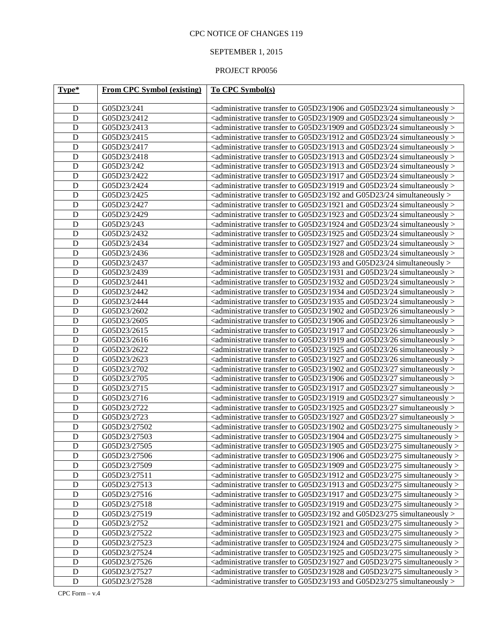# SEPTEMBER 1, 2015

| Type*       | <b>From CPC Symbol (existing)</b> | <b>To CPC Symbol(s)</b>                                                                                                    |
|-------------|-----------------------------------|----------------------------------------------------------------------------------------------------------------------------|
|             |                                   |                                                                                                                            |
| D           | G05D23/241                        | $\alpha$ <administrative 1906="" 24="" and="" g05d23="" simultaneously="" to="" transfer=""></administrative>              |
| D           | G05D23/2412                       | $\alpha$ <administrative 1909="" 24="" and="" g05d23="" simultaneously="" to="" transfer=""></administrative>              |
| D           | G05D23/2413                       | $\alpha$ <administrative 1909="" 24="" <math="" and="" g05d23="" simultaneously="" to="" transfer="">&gt;</administrative> |
| D           | G05D23/2415                       | <administrative 1912="" 24="" and="" g05d23="" simultaneously="" to="" transfer=""></administrative>                       |
| D           | G05D23/2417                       | $\alpha$ <administrative 1913="" 24="" <math="" and="" g05d23="" simultaneously="" to="" transfer="">&gt;</administrative> |
| D           | G05D23/2418                       | $\alpha$ <administrative 1913="" 24="" <math="" and="" g05d23="" simultaneously="" to="" transfer="">&gt;</administrative> |
| D           | G05D23/242                        | $\alpha$ <administrative 1913="" 24="" <math="" and="" g05d23="" simultaneously="" to="" transfer="">&gt;</administrative> |
| D           | G05D23/2422                       | $\alpha$ <administrative 1917="" 24="" <math="" and="" g05d23="" simultaneously="" to="" transfer="">&gt;</administrative> |
| D           | G05D23/2424                       | $\alpha$ <administrative 1919="" 24="" <math="" and="" g05d23="" simultaneously="" to="" transfer="">&gt;</administrative> |
| D           | G05D23/2425                       | $\alpha$ <administrative 192="" 24="" and="" g05d23="" simultaneously="" to="" transfer=""></administrative>               |
| D           | G05D23/2427                       | $\alpha$ <administrative 1921="" 24="" and="" g05d23="" simultaneously="" to="" transfer=""></administrative>              |
| D           | G05D23/2429                       | $\alpha$ <administrative 1923="" 24="" <math="" and="" g05d23="" simultaneously="" to="" transfer="">&gt;</administrative> |
| D           | G05D23/243                        | $\alpha$ <administrative 1924="" 24="" and="" g05d23="" simultaneously="" to="" transfer=""></administrative>              |
| D           | G05D23/2432                       | $\alpha$ <administrative 1925="" 24="" and="" g05d23="" simultaneously="" to="" transfer=""></administrative>              |
| D           | G05D23/2434                       | $\alpha$ <administrative 1927="" 24="" and="" g05d23="" simultaneously="" to="" transfer=""></administrative>              |
| D           | G05D23/2436                       | <administrative 1928="" 24="" and="" g05d23="" simultaneously="" to="" transfer=""></administrative>                       |
| D           | G05D23/2437                       | $\alpha$ <administrative 193="" 24="" and="" g05d23="" simultaneously="" to="" transfer=""></administrative>               |
| D           | G05D23/2439                       | <administrative 1931="" 24="" and="" g05d23="" simultaneously="" to="" transfer=""></administrative>                       |
| D           | G05D23/2441                       | <administrative 1932="" 24="" and="" g05d23="" simultaneously="" to="" transfer=""></administrative>                       |
| D           | G05D23/2442                       | <administrative 1934="" 24="" and="" g05d23="" simultaneously="" to="" transfer=""></administrative>                       |
| D           | G05D23/2444                       | $\alpha$ <administrative 1935="" 24="" and="" g05d23="" simultaneously="" to="" transfer=""></administrative>              |
| D           | G05D23/2602                       | $\alpha$ <administrative 1902="" 26="" <math="" and="" g05d23="" simultaneously="" to="" transfer="">&gt;</administrative> |
| D           | G05D23/2605                       | $\alpha$ <administrative 1906="" 26="" <math="" and="" g05d23="" simultaneously="" to="" transfer="">&gt;</administrative> |
| D           | G05D23/2615                       | $\alpha$ <administrative 1917="" 26="" <math="" and="" g05d23="" simultaneously="" to="" transfer="">&gt;</administrative> |
| D           | G05D23/2616                       | $\alpha$ <administrative 1919="" 26="" <math="" and="" g05d23="" simultaneously="" to="" transfer="">&gt;</administrative> |
| D           | G05D23/2622                       | $\alpha$ <administrative 1925="" 26="" <math="" and="" g05d23="" simultaneously="" to="" transfer="">&gt;</administrative> |
| D           | G05D23/2623                       | $\alpha$ <administrative 1927="" 26="" and="" g05d23="" simultaneously="" to="" transfer=""></administrative>              |
| D           | G05D23/2702                       | $\alpha$ <administrative 1902="" 27="" and="" g05d23="" simultaneously="" to="" transfer=""></administrative>              |
| D           | G05D23/2705                       | $\alpha$ <administrative 1906="" 27="" and="" g05d23="" simultaneously="" to="" transfer=""></administrative>              |
| D           | G05D23/2715                       | $\alpha$ <administrative 1917="" 27="" and="" g05d23="" simultaneously="" to="" transfer=""></administrative>              |
| D           | G05D23/2716                       | $\alpha$ <administrative 1919="" 27="" and="" g05d23="" simultaneously="" to="" transfer=""></administrative>              |
| D           | G05D23/2722                       | <administrative 1925="" 27="" and="" g05d23="" simultaneously="" to="" transfer=""></administrative>                       |
| D           | G05D23/2723                       | <administrative 1927="" 27="" and="" g05d23="" simultaneously="" to="" transfer=""></administrative>                       |
| D           | G05D23/27502                      | <administrative 1902="" 275="" and="" g05d23="" simultaneously="" to="" transfer=""></administrative>                      |
| $\mathbf D$ | G05D23/27503                      | <administrative 1904="" 275="" and="" g05d23="" simultaneously="" to="" transfer=""></administrative>                      |
| $\mathbf D$ | G05D23/27505                      | <administrative 1905="" 275="" and="" g05d23="" simultaneously="" to="" transfer=""></administrative>                      |
| D           | G05D23/27506                      | $\alpha$ administrative transfer to G05D23/1906 and G05D23/275 simultaneously $>$                                          |
| $\mathbf D$ | G05D23/27509                      | $\alpha$ <administrative 1909="" 275="" and="" g05d23="" simultaneously="" to="" transfer=""></administrative>             |
| $\mathbf D$ | G05D23/27511                      | <administrative 1912="" 275="" and="" g05d23="" simultaneously="" to="" transfer=""></administrative>                      |
| $\mathbf D$ | G05D23/27513                      | $\alpha$ <administrative 1913="" 275="" and="" g05d23="" simultaneously="" to="" transfer=""></administrative>             |
| $\mathbf D$ | G05D23/27516                      | <administrative 1917="" 275="" and="" g05d23="" simultaneously="" to="" transfer=""></administrative>                      |
| $\mathbf D$ | G05D23/27518                      | <administrative 1919="" 275="" and="" g05d23="" simultaneously="" to="" transfer=""></administrative>                      |
| $\mathbf D$ | G05D23/27519                      | $\alpha$ <administrative 192="" 275="" and="" g05d23="" simultaneously="" to="" transfer=""></administrative>              |
| $\mathbf D$ | G05D23/2752                       | <administrative 1921="" 275="" and="" g05d23="" simultaneously="" to="" transfer=""></administrative>                      |
| $\mathbf D$ | G05D23/27522                      | <administrative 1923="" 275="" and="" g05d23="" simultaneously="" to="" transfer=""></administrative>                      |
| $\mathbf D$ | G05D23/27523                      | <administrative 1924="" 275="" and="" g05d23="" simultaneously="" to="" transfer=""></administrative>                      |
| $\mathbf D$ | G05D23/27524                      | <administrative 1925="" 275="" and="" g05d23="" simultaneously="" to="" transfer=""></administrative>                      |
| $\mathbf D$ | G05D23/27526                      | <administrative 1927="" 275="" and="" g05d23="" simultaneously="" to="" transfer=""></administrative>                      |
| $\mathbf D$ | G05D23/27527                      | <administrative 1928="" 275="" and="" g05d23="" simultaneously="" to="" transfer=""></administrative>                      |
| $\mathbf D$ | G05D23/27528                      | <administrative 193="" 275="" and="" g05d23="" simultaneously="" to="" transfer=""></administrative>                       |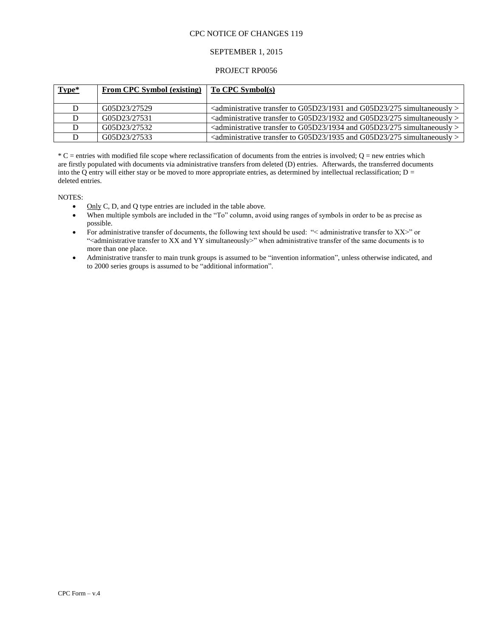## SEPTEMBER 1, 2015

### PROJECT RP0056

| Type* | <b>From CPC Symbol (existing)</b> | To CPC Symbol(s)                                                                                                            |
|-------|-----------------------------------|-----------------------------------------------------------------------------------------------------------------------------|
|       | G05D23/27529                      | $\alpha$ <administrative 1931="" 275="" <math="" and="" g05d23="" simultaneously="" to="" transfer="">&gt;</administrative> |
|       | G05D23/27531                      | <administrative 1932="" 275="" and="" g05d23="" simultaneously="" to="" transfer=""></administrative>                       |
|       | G05D23/27532                      | <administrative 1934="" 275="" and="" g05d23="" simultaneously="" to="" transfer=""></administrative>                       |
|       | G05D23/27533                      | <administrative 1935="" 275="" and="" g05d23="" simultaneously="" to="" transfer=""></administrative>                       |

 $^*C$  = entries with modified file scope where reclassification of documents from the entries is involved; O = new entries which are firstly populated with documents via administrative transfers from deleted (D) entries. Afterwards, the transferred documents into the Q entry will either stay or be moved to more appropriate entries, as determined by intellectual reclassification;  $D =$ deleted entries.

NOTES:

- $\bullet$  Only C, D, and Q type entries are included in the table above.
- When multiple symbols are included in the "To" column, avoid using ranges of symbols in order to be as precise as possible.
- For administrative transfer of documents, the following text should be used: "< administrative transfer to XX>" or "<administrative transfer to XX and YY simultaneously>" when administrative transfer of the same documents is to more than one place.
- Administrative transfer to main trunk groups is assumed to be "invention information", unless otherwise indicated, and to 2000 series groups is assumed to be "additional information".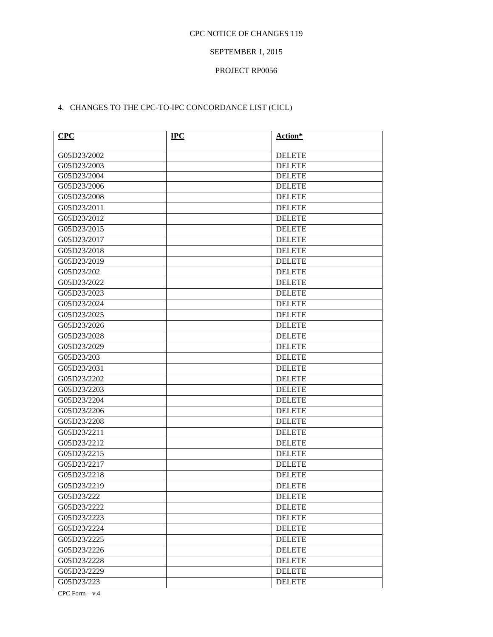# SEPTEMBER 1, 2015

# PROJECT RP0056

# 4. CHANGES TO THE CPC-TO-IPC CONCORDANCE LIST (CICL)

| CPC         | <b>IPC</b> | Action*       |
|-------------|------------|---------------|
| G05D23/2002 |            | <b>DELETE</b> |
| G05D23/2003 |            | <b>DELETE</b> |
| G05D23/2004 |            | <b>DELETE</b> |
| G05D23/2006 |            | <b>DELETE</b> |
| G05D23/2008 |            | <b>DELETE</b> |
| G05D23/2011 |            | <b>DELETE</b> |
| G05D23/2012 |            | <b>DELETE</b> |
| G05D23/2015 |            | <b>DELETE</b> |
| G05D23/2017 |            | <b>DELETE</b> |
| G05D23/2018 |            | <b>DELETE</b> |
| G05D23/2019 |            | <b>DELETE</b> |
| G05D23/202  |            | <b>DELETE</b> |
| G05D23/2022 |            | <b>DELETE</b> |
| G05D23/2023 |            | <b>DELETE</b> |
| G05D23/2024 |            | <b>DELETE</b> |
| G05D23/2025 |            | <b>DELETE</b> |
| G05D23/2026 |            | <b>DELETE</b> |
| G05D23/2028 |            | <b>DELETE</b> |
| G05D23/2029 |            | <b>DELETE</b> |
| G05D23/203  |            | <b>DELETE</b> |
| G05D23/2031 |            | <b>DELETE</b> |
| G05D23/2202 |            | <b>DELETE</b> |
| G05D23/2203 |            | <b>DELETE</b> |
| G05D23/2204 |            | <b>DELETE</b> |
| G05D23/2206 |            | <b>DELETE</b> |
| G05D23/2208 |            | <b>DELETE</b> |
| G05D23/2211 |            | <b>DELETE</b> |
| G05D23/2212 |            | <b>DELETE</b> |
| G05D23/2215 |            | <b>DELETE</b> |
| G05D23/2217 |            | <b>DELETE</b> |
| G05D23/2218 |            | <b>DELETE</b> |
| G05D23/2219 |            | <b>DELETE</b> |
| G05D23/222  |            | <b>DELETE</b> |
| G05D23/2222 |            | <b>DELETE</b> |
| G05D23/2223 |            | <b>DELETE</b> |
| G05D23/2224 |            | <b>DELETE</b> |
| G05D23/2225 |            | <b>DELETE</b> |
| G05D23/2226 |            | <b>DELETE</b> |
| G05D23/2228 |            | <b>DELETE</b> |
| G05D23/2229 |            | <b>DELETE</b> |
| G05D23/223  |            | <b>DELETE</b> |

CPC Form  $- v.4$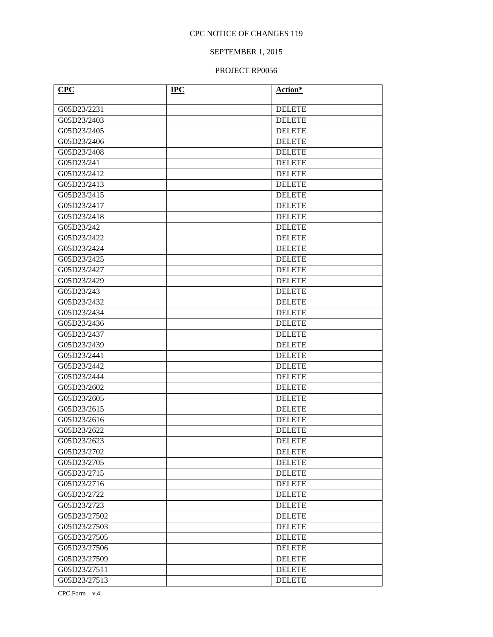# SEPTEMBER 1, 2015

### PROJECT RP0056

| <b>CPC</b>   | <b>IPC</b> | Action*       |
|--------------|------------|---------------|
| G05D23/2231  |            | <b>DELETE</b> |
| G05D23/2403  |            | <b>DELETE</b> |
| G05D23/2405  |            | <b>DELETE</b> |
| G05D23/2406  |            | <b>DELETE</b> |
| G05D23/2408  |            | <b>DELETE</b> |
| G05D23/241   |            | <b>DELETE</b> |
| G05D23/2412  |            | <b>DELETE</b> |
| G05D23/2413  |            | <b>DELETE</b> |
| G05D23/2415  |            | <b>DELETE</b> |
| G05D23/2417  |            | <b>DELETE</b> |
| G05D23/2418  |            | <b>DELETE</b> |
| G05D23/242   |            | <b>DELETE</b> |
| G05D23/2422  |            | <b>DELETE</b> |
| G05D23/2424  |            | <b>DELETE</b> |
| G05D23/2425  |            | <b>DELETE</b> |
| G05D23/2427  |            | <b>DELETE</b> |
| G05D23/2429  |            | <b>DELETE</b> |
| G05D23/243   |            | <b>DELETE</b> |
| G05D23/2432  |            | <b>DELETE</b> |
| G05D23/2434  |            | <b>DELETE</b> |
| G05D23/2436  |            | <b>DELETE</b> |
| G05D23/2437  |            | <b>DELETE</b> |
| G05D23/2439  |            | <b>DELETE</b> |
| G05D23/2441  |            | <b>DELETE</b> |
| G05D23/2442  |            | <b>DELETE</b> |
| G05D23/2444  |            | <b>DELETE</b> |
| G05D23/2602  |            | <b>DELETE</b> |
| G05D23/2605  |            | <b>DELETE</b> |
| G05D23/2615  |            | <b>DELETE</b> |
| G05D23/2616  |            | <b>DELETE</b> |
| G05D23/2622  |            | <b>DELETE</b> |
| G05D23/2623  |            | <b>DELETE</b> |
| G05D23/2702  |            | <b>DELETE</b> |
| G05D23/2705  |            | <b>DELETE</b> |
| G05D23/2715  |            | <b>DELETE</b> |
| G05D23/2716  |            | <b>DELETE</b> |
| G05D23/2722  |            | <b>DELETE</b> |
| G05D23/2723  |            | <b>DELETE</b> |
| G05D23/27502 |            | <b>DELETE</b> |
| G05D23/27503 |            | <b>DELETE</b> |
| G05D23/27505 |            | <b>DELETE</b> |
| G05D23/27506 |            | <b>DELETE</b> |
| G05D23/27509 |            | <b>DELETE</b> |
| G05D23/27511 |            | <b>DELETE</b> |
| G05D23/27513 |            | <b>DELETE</b> |

CPC Form  $- v.4$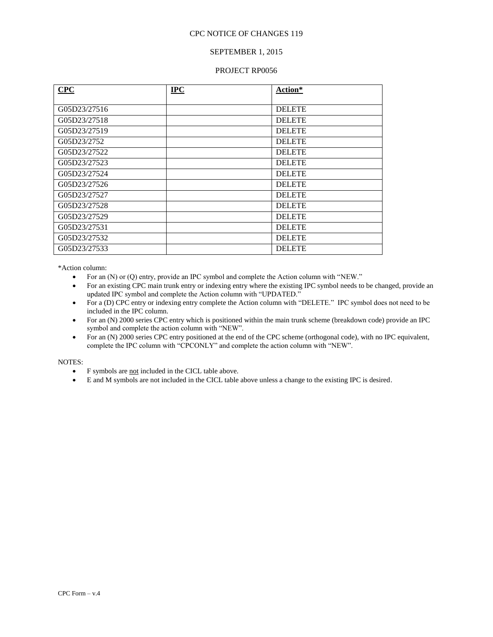### SEPTEMBER 1, 2015

#### PROJECT RP0056

| CPC          | <b>IPC</b> | Action*       |
|--------------|------------|---------------|
|              |            |               |
| G05D23/27516 |            | <b>DELETE</b> |
| G05D23/27518 |            | <b>DELETE</b> |
| G05D23/27519 |            | <b>DELETE</b> |
| G05D23/2752  |            | <b>DELETE</b> |
| G05D23/27522 |            | <b>DELETE</b> |
| G05D23/27523 |            | <b>DELETE</b> |
| G05D23/27524 |            | <b>DELETE</b> |
| G05D23/27526 |            | <b>DELETE</b> |
| G05D23/27527 |            | <b>DELETE</b> |
| G05D23/27528 |            | <b>DELETE</b> |
| G05D23/27529 |            | <b>DELETE</b> |
| G05D23/27531 |            | <b>DELETE</b> |
| G05D23/27532 |            | <b>DELETE</b> |
| G05D23/27533 |            | <b>DELETE</b> |

\*Action column:

- For an (N) or (Q) entry, provide an IPC symbol and complete the Action column with "NEW."
- For an existing CPC main trunk entry or indexing entry where the existing IPC symbol needs to be changed, provide an updated IPC symbol and complete the Action column with "UPDATED."
- For a (D) CPC entry or indexing entry complete the Action column with "DELETE." IPC symbol does not need to be included in the IPC column.
- For an (N) 2000 series CPC entry which is positioned within the main trunk scheme (breakdown code) provide an IPC symbol and complete the action column with "NEW".
- For an (N) 2000 series CPC entry positioned at the end of the CPC scheme (orthogonal code), with no IPC equivalent, complete the IPC column with "CPCONLY" and complete the action column with "NEW".

#### NOTES:

- F symbols are not included in the CICL table above.
- E and M symbols are not included in the CICL table above unless a change to the existing IPC is desired.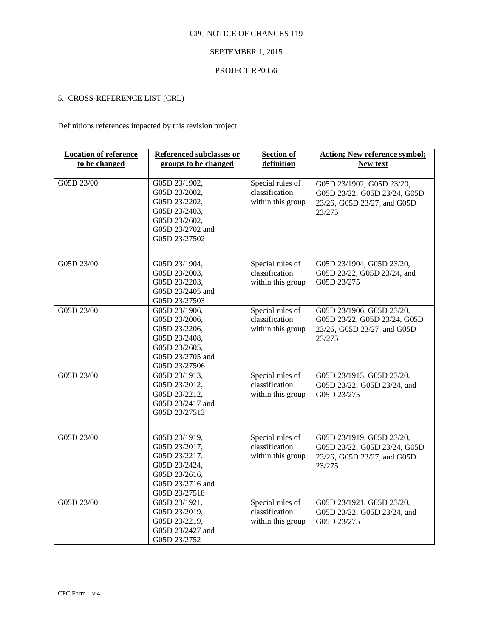# SEPTEMBER 1, 2015

## PROJECT RP0056

# 5. CROSS-REFERENCE LIST (CRL)

# Definitions references impacted by this revision project

| <b>Location of reference</b><br>to be changed | Referenced subclasses or<br>groups to be changed                                                                       | <b>Section of</b><br>definition                         | <b>Action; New reference symbol;</b><br>New text                                                   |
|-----------------------------------------------|------------------------------------------------------------------------------------------------------------------------|---------------------------------------------------------|----------------------------------------------------------------------------------------------------|
|                                               |                                                                                                                        |                                                         |                                                                                                    |
| G05D 23/00                                    | G05D 23/1902,<br>G05D 23/2002,<br>G05D 23/2202,<br>G05D 23/2403,<br>G05D 23/2602,<br>G05D 23/2702 and<br>G05D 23/27502 | Special rules of<br>classification<br>within this group | G05D 23/1902, G05D 23/20,<br>G05D 23/22, G05D 23/24, G05D<br>23/26, G05D 23/27, and G05D<br>23/275 |
| G05D 23/00                                    | G05D 23/1904,<br>G05D 23/2003,<br>G05D 23/2203,<br>G05D 23/2405 and<br>G05D 23/27503                                   | Special rules of<br>classification<br>within this group | G05D 23/1904, G05D 23/20,<br>G05D 23/22, G05D 23/24, and<br>G05D 23/275                            |
| G05D 23/00                                    | G05D 23/1906,<br>G05D 23/2006,<br>G05D 23/2206,<br>G05D 23/2408,<br>G05D 23/2605,<br>G05D 23/2705 and<br>G05D 23/27506 | Special rules of<br>classification<br>within this group | G05D 23/1906, G05D 23/20,<br>G05D 23/22, G05D 23/24, G05D<br>23/26, G05D 23/27, and G05D<br>23/275 |
| G05D 23/00                                    | G05D 23/1913,<br>G05D 23/2012,<br>G05D 23/2212,<br>G05D 23/2417 and<br>G05D 23/27513                                   | Special rules of<br>classification<br>within this group | G05D 23/1913, G05D 23/20,<br>G05D 23/22, G05D 23/24, and<br>G05D 23/275                            |
| G05D 23/00                                    | G05D 23/1919,<br>G05D 23/2017,<br>G05D 23/2217,<br>G05D 23/2424,<br>G05D 23/2616,<br>G05D 23/2716 and<br>G05D 23/27518 | Special rules of<br>classification<br>within this group | G05D 23/1919, G05D 23/20,<br>G05D 23/22, G05D 23/24, G05D<br>23/26, G05D 23/27, and G05D<br>23/275 |
| G05D 23/00                                    | G05D 23/1921,<br>G05D 23/2019,<br>G05D 23/2219,<br>G05D 23/2427 and<br>G05D 23/2752                                    | Special rules of<br>classification<br>within this group | G05D 23/1921, G05D 23/20,<br>G05D 23/22, G05D 23/24, and<br>G05D 23/275                            |